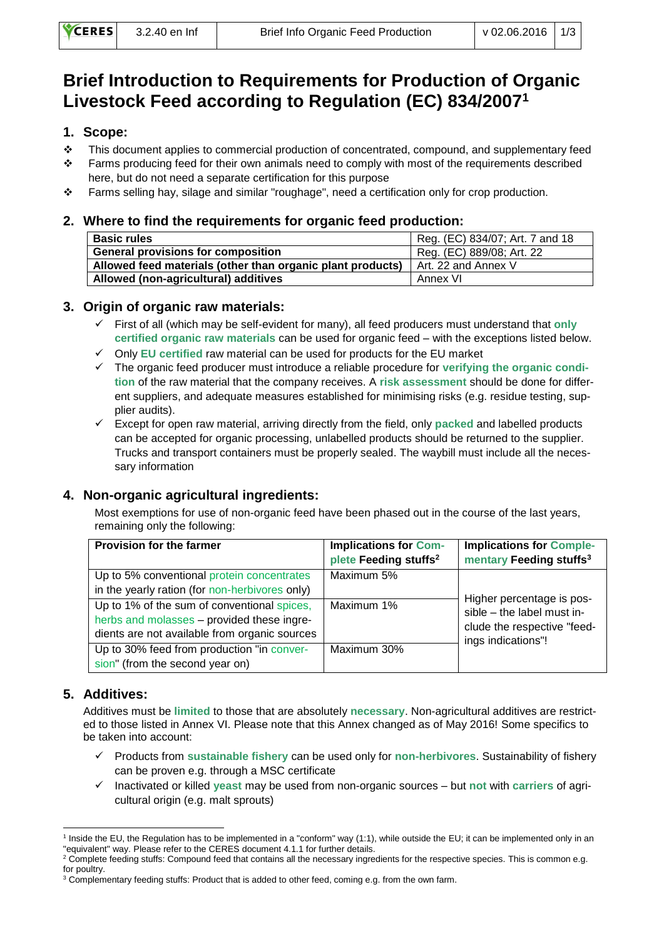# **Brief Introduction to Requirements for Production of Organic Livestock Feed according to Regulation (EC) 834/2007<sup>1</sup>**

# **1. Scope:**

- $\div$  This document applies to commercial production of concentrated, compound, and supplementary feed
- \* Farms producing feed for their own animals need to comply with most of the requirements described here, but do not need a separate certification for this purpose
- Farms selling hay, silage and similar "roughage", need a certification only for crop production.

#### **2. Where to find the requirements for organic feed production:**

| <b>Basic rules</b>                                         | Reg. (EC) 834/07; Art. 7 and 18 |
|------------------------------------------------------------|---------------------------------|
| <b>General provisions for composition</b>                  | Reg. (EC) 889/08; Art. 22       |
| Allowed feed materials (other than organic plant products) | Art. 22 and Annex V             |
| Allowed (non-agricultural) additives                       | Annex VI                        |

## **3. Origin of organic raw materials:**

- First of all (which may be self-evident for many), all feed producers must understand that **only certified organic raw materials** can be used for organic feed – with the exceptions listed below.
- Only **EU certified** raw material can be used for products for the EU market
- The organic feed producer must introduce a reliable procedure for **verifying the organic condition** of the raw material that the company receives. A **risk assessment** should be done for different suppliers, and adequate measures established for minimising risks (e.g. residue testing, supplier audits).
- Except for open raw material, arriving directly from the field, only **packed** and labelled products can be accepted for organic processing, unlabelled products should be returned to the supplier. Trucks and transport containers must be properly sealed. The waybill must include all the necessary information

## **4. Non-organic agricultural ingredients:**

Most exemptions for use of non-organic feed have been phased out in the course of the last years, remaining only the following:

| <b>Provision for the farmer</b>                | <b>Implications for Com-</b><br>plete Feeding stuffs <sup>2</sup> | <b>Implications for Comple-</b><br>mentary Feeding stuffs <sup>3</sup> |  |
|------------------------------------------------|-------------------------------------------------------------------|------------------------------------------------------------------------|--|
| Up to 5% conventional protein concentrates     | Maximum 5%                                                        |                                                                        |  |
| in the yearly ration (for non-herbivores only) |                                                                   |                                                                        |  |
| Up to 1% of the sum of conventional spices,    | Maximum 1%                                                        | Higher percentage is pos-<br>sible - the label must in-                |  |
| herbs and molasses - provided these ingre-     |                                                                   | clude the respective "feed-                                            |  |
| dients are not available from organic sources  |                                                                   | ings indications"!                                                     |  |
| Up to 30% feed from production "in conver-     | Maximum 30%                                                       |                                                                        |  |
| sion" (from the second year on)                |                                                                   |                                                                        |  |

## **5. Additives:**

Additives must be **limited** to those that are absolutely **necessary**. Non-agricultural additives are restricted to those listed in Annex VI. Please note that this Annex changed as of May 2016! Some specifics to be taken into account:

- Products from **sustainable fishery** can be used only for **non-herbivores**. Sustainability of fishery can be proven e.g. through a MSC certificate
- Inactivated or killed **yeast** may be used from non-organic sources but **not** with **carriers** of agricultural origin (e.g. malt sprouts)

<sup>-</sup><sup>1</sup> Inside the EU, the Regulation has to be implemented in a "conform" way (1:1), while outside the EU; it can be implemented only in an "equivalent" way. Please refer to the CERES document 4.1.1 for further details.

 $2$  Complete feeding stuffs: Compound feed that contains all the necessary ingredients for the respective species. This is common e.g. for poultry.

<sup>&</sup>lt;sup>3</sup> Complementary feeding stuffs: Product that is added to other feed, coming e.g. from the own farm.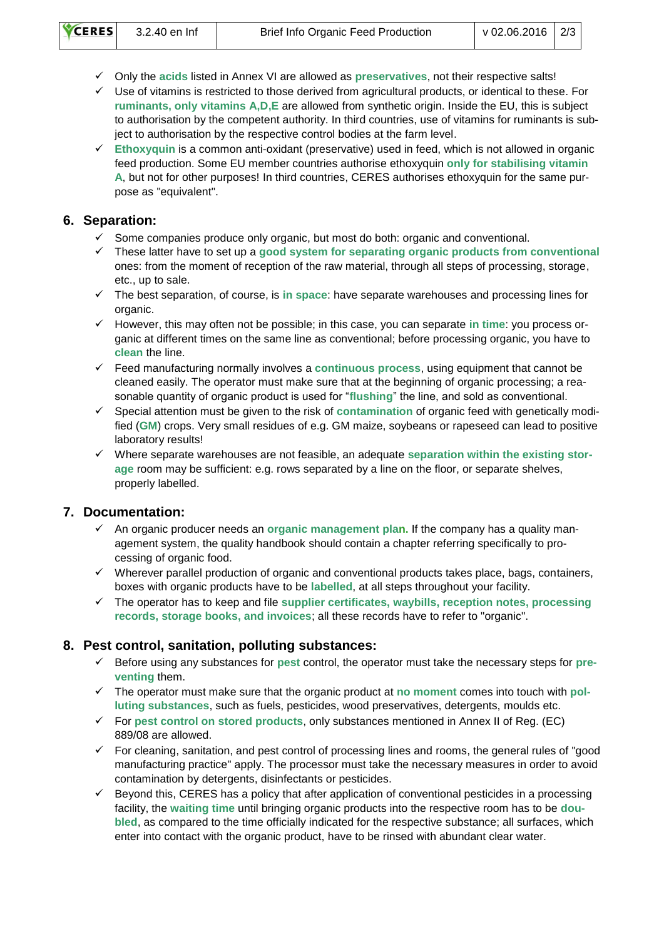- Only the **acids** listed in Annex VI are allowed as **preservatives**, not their respective salts!
- $\checkmark$  Use of vitamins is restricted to those derived from agricultural products, or identical to these. For **ruminants, only vitamins A,D,E** are allowed from synthetic origin. Inside the EU, this is subject to authorisation by the competent authority. In third countries, use of vitamins for ruminants is subject to authorisation by the respective control bodies at the farm level.
- **Ethoxyquin** is a common anti-oxidant (preservative) used in feed, which is not allowed in organic feed production. Some EU member countries authorise ethoxyquin **only for stabilising vitamin A**, but not for other purposes! In third countries, CERES authorises ethoxyquin for the same purpose as "equivalent".

#### **6. Separation:**

- Some companies produce only organic, but most do both: organic and conventional.
- These latter have to set up a **good system for separating organic products from conventional**  ones: from the moment of reception of the raw material, through all steps of processing, storage, etc., up to sale.
- The best separation, of course, is **in space**: have separate warehouses and processing lines for organic.
- However, this may often not be possible; in this case, you can separate **in time**: you process organic at different times on the same line as conventional; before processing organic, you have to **clean** the line.
- Feed manufacturing normally involves a **continuous process**, using equipment that cannot be cleaned easily. The operator must make sure that at the beginning of organic processing; a reasonable quantity of organic product is used for "**flushing**" the line, and sold as conventional.
- Special attention must be given to the risk of **contamination** of organic feed with genetically modified (**GM**) crops. Very small residues of e.g. GM maize, soybeans or rapeseed can lead to positive laboratory results!
- Where separate warehouses are not feasible, an adequate **separation within the existing storage** room may be sufficient: e.g. rows separated by a line on the floor, or separate shelves, properly labelled.

## **7. Documentation:**

- $\checkmark$  An organic producer needs an **organic management plan.** If the company has a quality management system, the quality handbook should contain a chapter referring specifically to processing of organic food.
- $\checkmark$  Wherever parallel production of organic and conventional products takes place, bags, containers, boxes with organic products have to be **labelled**, at all steps throughout your facility.
- The operator has to keep and file **supplier certificates, waybills, reception notes, processing records, storage books, and invoices**; all these records have to refer to "organic".

## **8. Pest control, sanitation, polluting substances:**

- Before using any substances for **pest** control, the operator must take the necessary steps for **preventing** them.
- The operator must make sure that the organic product at **no moment** comes into touch with **polluting substances**, such as fuels, pesticides, wood preservatives, detergents, moulds etc.
- For **pest control on stored products**, only substances mentioned in Annex II of Reg. (EC) 889/08 are allowed.
- $\checkmark$  For cleaning, sanitation, and pest control of processing lines and rooms, the general rules of "good" manufacturing practice" apply. The processor must take the necessary measures in order to avoid contamination by detergents, disinfectants or pesticides.
- $\checkmark$  Bevond this, CERES has a policy that after application of conventional pesticides in a processing facility, the **waiting time** until bringing organic products into the respective room has to be **doubled**, as compared to the time officially indicated for the respective substance; all surfaces, which enter into contact with the organic product, have to be rinsed with abundant clear water.